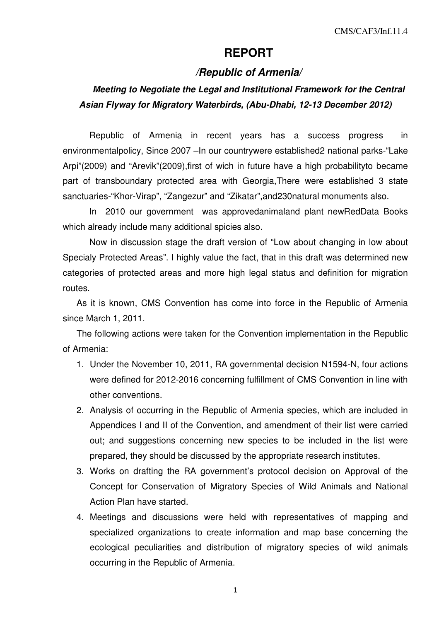## **REPORT**

## **/Republic of Armenia/**

## **Meeting to Negotiate the Legal and Institutional Framework for the Central Asian Flyway for Migratory Waterbirds, (Abu-Dhabi, 12-13 December 2012)**

Republic of Armenia in recent years has a success progress in environmentalpolicy, Since 2007 –In our countrywere established2 national parks-"Lake Arpi"(2009) and "Arevik"(2009),first of wich in future have a high probabilityto became part of transboundary protected area with Georgia,There were established 3 state sanctuaries-"Khor-Virap", "Zangezur" and "Zikatar",and230natural monuments also.

In 2010 our government was approvedanimaland plant newRedData Books which already include many additional spicies also.

Now in discussion stage the draft version of "Low about changing in low about Specialy Protected Areas". I highly value the fact, that in this draft was determined new categories of protected areas and more high legal status and definition for migration routes.

As it is known, CMS Convention has come into force in the Republic of Armenia since March 1, 2011.

The following actions were taken for the Convention implementation in the Republic of Armenia:

- 1. Under the November 10, 2011, RA governmental decision N1594-N, four actions were defined for 2012-2016 concerning fulfillment of CMS Convention in line with other conventions.
- 2. Analysis of occurring in the Republic of Armenia species, which are included in Appendices I and II of the Convention, and amendment of their list were carried out; and suggestions concerning new species to be included in the list were prepared, they should be discussed by the appropriate research institutes.
- 3. Works on drafting the RA government's protocol decision on Approval of the Concept for Conservation of Migratory Species of Wild Animals and National Action Plan have started.
- 4. Meetings and discussions were held with representatives of mapping and specialized organizations to create information and map base concerning the ecological peculiarities and distribution of migratory species of wild animals occurring in the Republic of Armenia.